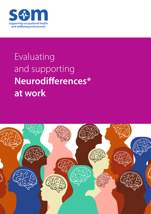

# Evaluating and supporting **Neurodifferences\* at work**

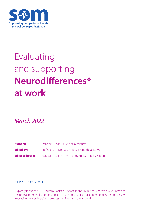

# Evaluating and supporting **Neurodifferences\* at work**

*March 2022*

| <b>Authors:</b>         | Dr Nancy Doyle, Dr Belinda Medhurst                |
|-------------------------|----------------------------------------------------|
| <b>Edited by:</b>       | Professor Gail Kinman, Professor Almuth McDowall   |
| <b>Editorial board:</b> | SOM Occupational Psychology Special Interest Group |

#### ISBN 978-1-3999-2138-1

\*Typically includes ADHD, Autism, Dyslexia, Dyspraxia and Tourette's Syndrome. Also known as Neurodevelopmental Disorders, Specific Learning Disabilities, Neurominorities, Neurodiversity Neurodivergence/diversity – see glossary of terms in the appendix.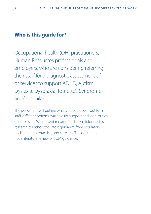# **Who is this guide for?**

Occupational health (OH) practitioners, Human Resources professionals and employers, who are considering referring their staff for a diagnostic assessment of or services to support ADHD, Autism, Dyslexia, Dyspraxia, Tourette's Syndrome and/or similar.

The document will outline what you could look out for in staff, different options available for support and legal duties of employers. We present recommendations informed by research evidence, the latest guidance from regulatory bodies, current practice, and case law. The document is not a literature review or SOM guidance.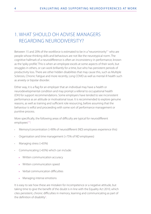# 1. WHAT SHOULD OH ADVISE MANAGERS REGARDING NEURODIVERSITY?

Between 15 and 20% of the workforce is estimated to be in a "neurominority"<sup>1</sup> who are people whose thinking skills and behaviours are not like the neurotypical norm. The cognitive hallmark of a neurodifference is often an inconsistency in performance, known as the 'spiky profile'. This is when an employee excels at some aspects of their work, but struggles in others, or can work brilliantly for a time, but who has persistent periods of productivity loss. There are other hidden disabilities that may cause this, such as Multiple Sclerosis, Chronic Fatigue and more recently, Long COVID as well as mental ill health such as anxiety or bipolar disorder.

Either way, it is a flag for an employer that an individual may have a health or neurodevelopmental condition and may prompt a referral to occupational health (OH) for support recommendations. Some employers have tended to see inconsistent performance as an attitude or motivational issue. It is recommended to explore genuine reasons, as well as training and sufficient role resourcing, before assuming that the behaviour is wilful and proceeding with some sort of performance management or punitive process.

More specifically, the following areas of difficulty are typical for neurodifferent employees $2-4$ :

- Memory/concentration (>90% of neurodifferent (ND) employees experience this)
- Organisation and time management (>75% of ND employees)
- Managing stress (>65%)
- Communicating (>65%) which can include:
	- » Written communication accuracy
	- » Written communication speed
	- » Verbal communication difficulties
	- » Managing intense emotions

It is easy to see how these are mistaken for incompetence or a negative attitude, but taking time to give the benefit of the doubt is in line with the Equality Act 2010, which cites persistent, chronic difficulties in memory, learning and communicating as part of the definition of disability<sup>5</sup>.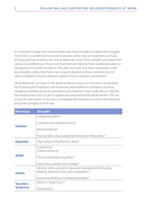It's important to state that neurominorities also have strengths to balance the struggles. That's why it is sometimes considered a diversity rather than an impairment, and why the language has evolved to be neutral. Below are some of the strengths associated with various neurodifferences. Please note that there are relatively fewer published studies on Dyspraxia and Tourette's Syndrome. This does not mean that these neurotypes confer less strengths; rather, that there is less research directed to these conditions (by 50:1 when compared to Autism research, despite similar population prevalence)<sup>6</sup>. .

OH professionals can draw on the above evidence to focus on the talent conversation when liaising with employers and employees. Neurodifferent employees can bring exceptional abilities, particular specialisms and creativity to their work. We can help flip the narrative from duty of care to opportunity and potential for advancement. The role of any OH intervention in this area is to facilitate the employee to work at their best and bring their strengths to their role.

| <b>Neurotype</b>                     | <b>Strengths</b>                                                                                                                                                                         |
|--------------------------------------|------------------------------------------------------------------------------------------------------------------------------------------------------------------------------------------|
| <b>Dyslexia</b>                      | Entrepreneurialism <sup>7</sup>                                                                                                                                                          |
|                                      | Creativity and cognitive control <sup>8</sup>                                                                                                                                            |
|                                      | Visual reasoning <sup>9</sup>                                                                                                                                                            |
|                                      | Practical skills, visual-spatial skills and story-telling ability <sup>10</sup>                                                                                                          |
| <b>Dyspraxia</b>                     | High verbal comprehension ability <sup>11</sup>                                                                                                                                          |
| <b>ADHD</b>                          | Authenticity <sup>12</sup><br>Creative thinking <sup>13</sup><br>Visual spatial reasoning ability <sup>11</sup><br>Hyper-focus, passion and courage <sup>14</sup>                        |
| <b>Autism</b>                        | Memory ability, and other 'specialist individual skills' including:<br>Reading, drawing, music and computation <sup>15</sup><br>Innovative thinking and detail observation <sup>14</sup> |
| <b>Tourette's</b><br><b>Syndrome</b> | Ability to 'hyper-focus' <sup>16</sup><br>Verbal ability <sup>17</sup>                                                                                                                   |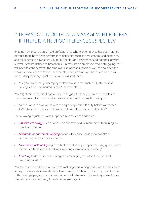## 2. HOW SHOULD OH TREAT A MANAGEMENT REFERRAL IF THERE IS A NEURODIFFERENCE SUSPECTED?

Imagine now that you are an OH professional to whom an employee has been referred because there have been performance difficulties such as persistent missed deadlines, and management have asked you for further insight, assessment and potential onward referral. It can be difficult to broach this subject with an employee who is struggling. You will need to consider what the employer can offer as support as well as how open the individual is to a conversation. For example, when an employer has a comprehensive process for providing adjustments, you could start there:

• "Are you aware that your employer often provides reasonable adjustments for colleagues who are neurodifferent? For example…"

You might think that it isn't appropriate to suggest that the person is neurodifferent. There is no need to have a label to provide recommendations. For example:

• "When I've seen employees with this type of specific difficulty before, we've tried XXXX strategy which seems to work well. Would you like to explore this?"

The following adjustments are supported by evaluative evidence<sup>3</sup>: :

- Assistive technology such as voice/text software or dual monitors, with training on how to implement.
- *Flexible hours and remote working* options (to reduce sensory overwhelm of commuting or shared office spaces).
- *Environmental flexibility* (e.g. a dedicated desk in a quiet space or using quiet spaces for focused tasks such as booking a meeting room for report writing).
- *Coaching* to devise specific strategies for managing executive functions and psychosocial issues.

You can recommend these without a formal diagnosis. A diagnosis is not the only route to help. There are also several online, free screening tools which you might want to use with the employee, and you can recommend adjustments while waiting to see if more specialist advice is required, if the situation isn't urgent.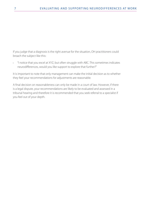If you judge that a diagnosis is the right avenue for the situation, OH practitioners could broach the subject like this:

• "I notice that you excel at XYZ, but often struggle with ABC. This sometimes indicates neurodifferences, would you like support to explore that further?"

It is important to note that only management can make the initial decision as to whether they feel your recommendations for adjustments are reasonable.

A final decision on reasonableness can only be made in a court of law. However, if there is a legal dispute, your recommendations are likely to be evaluated and assessed in a tribunal hearing and therefore it is recommended that you seek referral to a specialist if you feel out of your depth.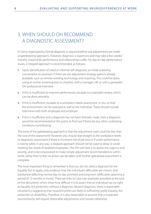# 3. WHEN SHOULD OH RECOMMEND A DIAGNOSTIC ASSESSMENT?

In many organisations, formal diagnosis is required before any adjustments are made (a 'gatekeeping' approach). However, diagnosis is expensive and may take a few weeks/ months, meanwhile performance and relationships suffer. For day-to-day performance issues, a 'stepped approach' is recommended, as follows:

- **1.** Upon identification of need or informal self-diagnosis, an initial screening conversation to ascertain if there are any adjustment strategy options already available, such as remote working, technology and coaching. This could be done using an online screening tool or checklist, with a manager, HR, or with a generalist OH professional interview.
- **2.** If this is insufficient to improve performance, escalate to a specialist review, which can be done remotely.
- **3.** If this is insufficient, escalate to a workplace needs assessment, in situ, so that the environment can be assessed as well as the individual. These should include interviews with both employee and employer.
- **4.** If this is insufficient and a diagnosis has not been formally made, then a diagnosis would be recommended at this point, to find out if there are any other underlying conditions contributing.

The irony of the gatekeeping approach is that the adjustment costs could be less than the cost of the assessment! However, you should skip straight to the workplace needs or diagnostic assessment if there is imminent risk of job loss or if under performance is risking safety in any way: a stepped approach should not be used to delay or avoid meeting the needs of disabled employees. The OH role here is to assess the urgency and severity, and to be empowered to make simple adjustment recommendations within remit, rather than to feel no action can be taken until further specialised assessment is complete.

The most important thing to remember is that you do not need a diagnosis for the Equality Act to apply, only evidence that the individual's difficulties are chronic and substantial (affecting normal day-to-day activities) and long-term (difficulties spanning a period of 12 months or more). There are links to Case Law examples provided at the end of this document, which show how difficult it is to assert that an individual has no right to Equality Act protection without a diagnosis. Beyond diagnosis, there is reasonable consistency suggesting that neurominorities are likely to sufficiently justify Equality Act protection as disabilities. Therefore, it is also reasonable to assume that a suspected neurominority will require reasonable adjustments until proven otherwise.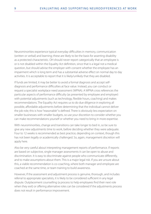Neurominorities experience typical everyday difficulties in memory, communication (written or verbal) and learning; these are likely to be the basis for asserting disability as a protected characteristic. OH should never report categorically that an employee is or is not disabled within the Equality Act definition, since that is a legal not a medical question, but should advise the employer with consent whether the employee has an impairment which is long term and has a substantial adverse effect on normal day to day activities. It is acceptable to report that it is likely/unlikely that they are disabled.

If funds are limited, it may be better to avoid a formal diagnosis and accept selfdiagnosis and performance difficulties at face value. Instead, you can conduct or request a specialist workplace need assessment (WPNA). A WPNA cross references the particular aspects of performance difficulty (as presented by employee and employer) with potential adjustments (such as technology, flexible hours, coaching) and makes recommendations. The Equality Act requires us to do due diligence in exploring all possible, affordable adjustments before determining that the individual cannot deliver the job role; this is how "reasonable" is defined. There is obviously less expectation on smaller businesses with smaller budgets, so use your discretion to consider whether you can make recommendations yourself or whether you need to bring in more expertise.

With neurominorities, change and transitions can take longer to bed in, so be sure to give any new adjustments time to work, before deciding whether they were adequate. Four to 12 weeks is recommended as best practice, depending on context, though this has not been legally or academically challenged. So, again, management discretion will apply here.

Also be very careful about interpreting management reports of performance. If reports are based on subjective, single manager assessments it can be open to abuse and discrimination. It is easy to discriminate against people who communicate differently, and to make assumptions about them. This is a major legal risk. If you are unsure about this, a viable recommendation is co-coaching, where both manager and employee are coached at the same time, or team training to build awareness.

However, If the assessment and adjustment process is genuine, thorough, and includes referral to appropriate specialists, it is likely to be considered sufficient in any legal dispute. Outplacement counselling (a process to help employees find their next role when they exit) or offering alternative roles can be considered if the adjustments process does not result in performance improvement.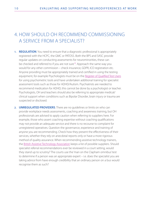## 4. HOW SHOULD OH RECOMMEND COMMISSIONING A SERVICE FROM A SPECIALIST?

- **1. REGULATION**. You need to ensure that a diagnostic professional is appropriately registered with the HCPC, the GMC or PATOSS. Both the BPS and SASC provide regular updates on conducting assessments for neurominorities, these can be checked and referred to if you are not sure<sup>18</sup>. Approach the same way you would for any other commission – check insurance, GDPR, ICO registration etc. Anyone providing must be appropriately trained and certified in using the testing equipment, for example Psychologists must be on the [Register of Qualified Test Users](https://ptc.bps.org.uk/register-qualifications-test-use-rqtu/search-rqtu) for using psychometric tools and have undertaken additional training for specialist assessment tools such as those for ADHD/Autism. Psychiatrists are needed to recommend medication for ADHD, this cannot be done by a psychologist or teacher. Psychologists, OH and teachers should also be referring to appropriate medical/ clinical support when conditions such as Bipolar Disorder, brain injury or trauma are suspected or disclosed.
- **2. UNREGULATED PROVIDERS**. There are no guidelines or limits on who can provide workplace needs assessments, coaching and awareness training, but OH professionals are advised to apply caution when referring to suppliers here. For example, those who assert coaching expertise without coaching qualifications may not provide an adequate service and there is no recourse to complaint for unregistered operatives. Question the governance, experience and training of anyone you are recommending. Check how they present the effectiveness of their services, whether they rely on anecdotal reports only or have a more rigorous method of quality assurance. When recommending assistive technology trainers, the [British Assistive Technology Association](https://www.bataonline.org.uk/members/directory) keeps a list of possible suppliers. Should specialist referral recommendations ever be reviewed in a court setting, would they stand up to scrutiny? The courts use the 'man on the Clapham omnibus' test to determine if a person was an appropriate expert – i.e. does the specialist you are taking advice from have enough credibility that an ordinary person on a bus would recognise them as such?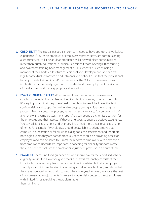- **3. CREDIBILITY**. The specialist/specialist company need to have appropriate workplace experience. If you, as an employer or employer's representative, are commissioning a report/service, will it be adult appropriate? Will it be workplace contextualised rather than purely educational or clinical? Consider if those offering HR consulting and awareness training have management or HR credentials, such as being a member of the Chartered Institute of Personnel and Development, and can offer legally contextualised advice on adjustments and policy. Ensure that the professional has appropriate training in and/or experience of the OH and human resources implications for their analysis, enough to understand the employment implications of the diagnosis and make appropriate signposting.
- **4. PSYCHOLOGICAL SAFETY.** When an employer is requiring an assessment or coaching, the individual can feel obliged to submit to scrutiny to retain their job. It's very important that the professional knows how to tread the line with client confidentiality and supporting vulnerable people during an identity changing process. Like any consumer process, remember you can ask to "try before you buy" and review an example assessment report. You can arrange a "chemistry session" for the employee and their assessor if they are nervous, to ensure a positive experience. You can ask for explanations and changes if you need more detail or an explanation of terms. For example, Psychologists should be available to ask questions that come up in preparation or follow up to a diagnosis; the assessment and report are not single events, they are part of process. Coaches should be providing notes for employees and can be asked to summarise reports to employers, with permission from employees. Records are important in coaching for disability support in case there is a need to evaluate the employer's adjustment provision in a Court of Law.
- **5. PAYMENT**. There is no fixed guidance on who should pay for the report, if disability eligibility is disputed. However, given that Case Law is reasonably consistent that Equality Act provision applies to neurominorities, it is advisable that an employer should pay to minimise the risk of later being found in breach of duty and show that they have operated in good faith towards the employee. However, as above, the cost of most reasonable adjustments is low, so it is potentially better to direct employers with limited funds to solving the problem rather than naming it.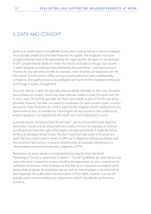## 5. DATA AND CONSENT

Seeking an expert report is no different to any other medical referral in that an employee must provide consent and the Data Protection Act applies. The employee must give consent (common law) to be examined by the expert and for the report to be disclosed to OH. Consent should ideally be written for reasons of evidence, though oral consent is valid if properly recorded and documented by the practitioner. Good governance is essential for any specialist provider; for example, check that they are registered with the Information Commissioner's Office and have sound policies on data, confidentiality, complaints, and quality assurance accreditation such as the British Standards Institute for technology or quality management.

Once the referral is made, the specialist assessor will be beholden to their own standards around data and consent, which may mean they are unable to share full results with OH. In most cases, OH and the specialist will share some details as part of the OH care being provided; however, this does not extend to employers. OH need consent under common law and the Data Protection Act 2018 to report to the employer (health professionals also have an ethical duty of confidence). Psychologists are also bound by their professional practice guidance, and regulated by the Health and Care Professionals Council.

Summary reports, following Caldicott principles<sup>19</sup>, are recommended which state that information should only be shared with who 'needs to know'. For example, an assessor should give the client first sight of the report and talking it through if needs be, before sending an abridged version to you. You don't need their raw scores or IQ scores any more than you would need to review an MRI scan in detail if a medical practitioner told you someone had a tumour or receive detailed notes on traumatic experiences if a mental health professional confirmed a diagnosis of PTSD.

Restrictions on report details is recommended best practice from the British Psychological Society in assessment of adults<sup>20,21</sup>. The BPS guidelines are clear that an end user is the 'client', irrespective of who is funding the assessment. As such, consent can be withdrawn on the part of the employee at any time, so it is important to establish good relationships as above. An employee may not wish for their employer to be informed of their diagnosis; this is also within the boundaries of their rights. However, you can still provide useful recommendations on adjustments, which may alleviate performance concerns.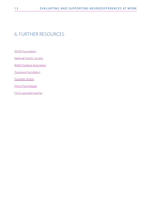# 6. FURTHER RESOURCES

[ADHD Foundation](https://adhdfoundation.org.uk/)

[National Autistic Society](https://www.autism.org.uk/)

[British Dyslexia Association](https://www.bdadyslexia.org.uk/)

[Dyspraxia Foundation](https://dyspraxiafoundation.org.uk/)

[Tourette's Action](https://www.tourettes-action.org.uk/)

[Find a Psychologist](https://www.bps.org.uk/public/find-psychologist)

[Find a specialist teacher](https://www.patoss-dyslexia.org/About-the-Tutor-Index)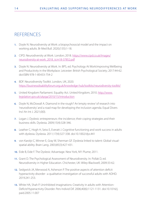## **REFERENCES**

- **1.** Doyle N. Neurodiversity at Work: a biopsychosocial model and the impact on working adults. Br Med Bull. 2020;(135):1-18.
- **2.** CIPD. Neurodiversity at Work. London; 2018. [https://www.cipd.co.uk/Images/](https://www.cipd.co.uk/Images/neurodiversity-at-work_2018_tcm18-37852.pdf) [neurodiversity-at-work\\_2018\\_tcm18-37852.pdf](https://www.cipd.co.uk/Images/neurodiversity-at-work_2018_tcm18-37852.pdf)
- **3.** Doyle N. Neurodiversity at Work. In: BPS, ed. Psychology At Work:Improving Wellbeing and Productivity in the Workplace. Leicester: British Psychological Society; 2017:44-62. doi:ISBN 978-1-85433-754-2
- **4.** BDF. Neurodiversity Toolkit. London, UK; 2020. <https://businessdisabilityforum.org.uk/knowledge-hub/toolkits/neurodiversity-toolkit/>
- **5.** United Kingdom Parliament. Equality Act. United Kingdom; 2010. [http://www.](http://www.legislation.gov.uk/ukpga/2010/15/introduction) [legislation.gov.uk/ukpga/2010/15/introduction](http://www.legislation.gov.uk/ukpga/2010/15/introduction)
- **6.** Doyle N, McDowall A. Diamond in the rough? An 'empty review' of research into 'neurodiversity' and a road map for developing the inclusion agenda. Equal Divers Incl An Int J. 2021;0(0).
- **7.** Logan J. Dyslexic entrepreneurs: the incidence; their coping strategies and their business skills. Dyslexia. 2009;15(4):328-346.
- **8.** Leather C, Hogh H, Seiss E, Everatt J. Cognitive functioning and work success in adults with dyslexia. Dyslexia. 2011;17(4):327-338. doi:10.1002/dys.441
- **9.** von Karolyi C, Winner E, Gray W, Sherman GF. Dyslexia linked to talent: Global visualspatial ability. Brain Lang. 2003;85(3):427-431.
- **10.** Eide B, Eide F. The Dyslexic Advantage. New York, NY: Plume; 2011.
- **11.** Grant D. The Psychological Assessment of Neurodiversity. In: Pollak D, ed. Neurodiversity in Higher Education. Chichester, UK: Wiley-Blackwell; 2009:33-62.
- **12.** Sedgwick JA, Merwood A, Asherson P. The positive aspects of attention deficit hyperactivity disorder : a qualitative investigation of successful adults with ADHD. 2019:241-253.
- **13.** White HA, Shah P. Uninhibited imaginations: Creativity in adults with Attention-Deficit/Hyperactivity Disorder. Pers Individ Dif. 2006;40(6):1121-1131. doi:10.1016/j. paid.2005.11.007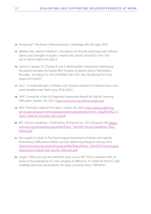- **14.** Armstrong T. The Power of Neurodiversity. Cambridge, MA: De Capo; 2010.
- **15.** Meilleur AAS, Jelenic P, Mottron L. Prevalence of Clinically and Empirically Defined Talents and Strengths in Autism. J Autism Dev Disord. 2015;45(5):1354-1367. doi:10.1007/s10803-014-2296-2
- **16.** Averns D, Jakubec SL, Thomas R, Link A. Working With Uniqueness: Optimizing Vocational Strengths for People With Tourette Syndrome and Co-Morbidities. Procedia - Soc Behav Sci. 2012;47(2000):1426-1435. doi://dx.doi.org/10.1016/j. sbspro.2012.06.837
- **17.** Dye C. A verbal strength in children with Tourette syndrome? Evidence from a nonword repetition task. Brain Lang. 2016;160:61.
- **18.** SASC. Format for a Post-16 Diagnostic Assessment Report for Specific Learning Difficulties. London, UK; 2021.<https://www.sasc.org.uk/Downloads.aspx>
- 19. NDG. The Eight Caldicott Principles. London, UK; 2020. [https://assets.publishing.](https://assets.publishing.service.gov.uk/government/uploads/system/uploads/attachment_data/file/942217/Eight_Caldicott_Principles_08.12.20.pdf) [service.gov.uk/government/uploads/system/uploads/attachment\\_data/file/942217/](https://assets.publishing.service.gov.uk/government/uploads/system/uploads/attachment_data/file/942217/Eight_Caldicott_Principles_08.12.20.pdf) [Eight\\_Caldicott\\_Principles\\_08.12.20.pdf](https://assets.publishing.service.gov.uk/government/uploads/system/uploads/attachment_data/file/942217/Eight_Caldicott_Principles_08.12.20.pdf)
- **20.** BPS. Practice Guidelines Third Edition. Br Psychol Soc. 2017;(August):1-89. [https://](https://www.bps.org.uk/sites/bps.org.uk/files/Policy  Files/BPS Practice Guidelines (Third Edition).pdf ) [www.bps.org.uk/sites/bps.org.uk/files/Policy - Files/BPS Practice Guidelines \(Third](https://www.bps.org.uk/sites/bps.org.uk/files/Policy - Files/BPS Practice Guidelines (Third Edition).pdf )  [Edition\).pdf](https://www.bps.org.uk/sites/bps.org.uk/files/Policy - Files/BPS Practice Guidelines (Third Edition).pdf )
- **21.** McLoughlin D, Doyle N. The Psychological Assessment of Adults with Specific Performance Difficulties at Work. Leicester: British Psychological Society; 2013. [https://www.bps.org.uk/sites/bps.org.uk/files/Policy/Policy - Files/DOP Psychological](https://www.bps.org.uk/sites/bps.org.uk/files/Policy/Policy - Files/DOP Psychological Assessment of Adults with Specific Difficulties.pdf)  [Assessment of Adults with Specific Difficulties.pdf](https://www.bps.org.uk/sites/bps.org.uk/files/Policy/Policy - Files/DOP Psychological Assessment of Adults with Specific Difficulties.pdf)
- **22.** Singer J. "Why can't you be normal for once in your life?" From a problem with no name to the emergence of a new category of difference. In: Corker M, French S, eds. Disability Discourse. Buckingham, UK: Open University Press; 1999:59-67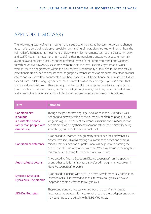## APPENDIX 1: GLOSSARY

The following glossary of terms in current use is subject to the caveat that terms evolve and change as part of the developing biopsychosocial understanding of neurodiversity. Neurominorities bear the hallmark of a human rights movement, and as with similar movements such as the Deaf community and LGBTQIA2S+, they assert the right to define their nomenclature. Just as we expect to maintain awareness and educate ourselves on the preferred terms of other protected conditions, we need to with neurodiversity. And, just as some women select the term Lesbian, Gay woman or Queer woman, there is disagreement within the Neurodiversity community as to which terms are best. OH practitioners are advised to enquire as to language preferences where appropriate, defer to individual choice and caveat written documents as we have done here. OH practitioners are also advised to listen for and learn updated language preferences and new terms as they emerge. If you use a term that someone doesn't like, just with any other protected condition, it is appropriate to apologise, correct your speech and move on. Feeling nervous about getting it wrong is natural, but an honest attempt and a quick pivot where needed should facilitate positive conversations in most interactions.

| <b>Term</b>                                                                                             | <b>Rationale</b>                                                                                                                                                                                                                                                                                                                                               |
|---------------------------------------------------------------------------------------------------------|----------------------------------------------------------------------------------------------------------------------------------------------------------------------------------------------------------------------------------------------------------------------------------------------------------------------------------------------------------------|
| <b>Condition first</b><br>language<br>(i.e. disabled people<br>rather than people with<br>disabilities) | Though the person-first language, developed in the 80s and 90s was<br>designed to draw attention to the humanity of disabled people, it is no<br>longer in vogue. The current preference elicits the social model, in that<br>people are disabled by their environment, rather than a disability being<br>something you have at the individual level.          |
| <b>Condition or difference</b>                                                                          | As opposed to Disorder. Though many experience their difference as<br>disorder, we should avoid making assumptions of deficit and distress,<br>mindful that our position as professional will be pivotal in framing the<br>experience of those with whom we work. When we frame in the negative,<br>this can be self-fulfilling for those who are in our care. |
| Autism/Autistic/Autist                                                                                  | As opposed to Autistic Spectrum Disorder, Asperger's, on the spectrum<br>or any other variation, this phrase is preferred though many people still<br>identify as Asperger's or Aspie.                                                                                                                                                                         |
| Dyslexic, Dyspraxic,<br><b>Dyscalculic, Dyspraphic</b>                                                  | As opposed to "person with dys*". The term Developmental Coordination<br>Disorder (or DCD) is referred to as an alternative to Dypraxia, however<br>Dyspraxic people prefer the term Dyspraxia.                                                                                                                                                                |
| <b>ADHDer/Touretter</b>                                                                                 | These conditions are not easy to take out of person-first language,<br>however some people with lived experience use these adaptations, others<br>may continue to use person with ADHD/Tourette's.                                                                                                                                                             |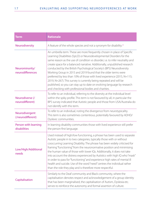| <b>Term</b>                          | <b>Rationale</b>                                                                                                                                                                                                                                                                                                                                                                                                                                                                                                                                                                                                                                                                                                                           |
|--------------------------------------|--------------------------------------------------------------------------------------------------------------------------------------------------------------------------------------------------------------------------------------------------------------------------------------------------------------------------------------------------------------------------------------------------------------------------------------------------------------------------------------------------------------------------------------------------------------------------------------------------------------------------------------------------------------------------------------------------------------------------------------------|
| Neurodiversity                       | A feature of the whole species and not a synonym for disability. <sup>22</sup>                                                                                                                                                                                                                                                                                                                                                                                                                                                                                                                                                                                                                                                             |
| Neurominority/<br>neurodifferences   | An umbrella term. These are more frequently chosen in place of Specific<br>Learning Disabilities (SpLD) or Neurodevelopmental Disorders for the<br>same reason as the use of condition vs disorder, i.e. to infer neutrality and<br>create space for a balanced narrative. Additionally, unpublished research<br>conducted by the British Psychological Society's (BPS) Neurodiversity<br>Working Group in 2015 and 2019 found that the older terms were<br>preferred by less than 10% of those with lived experience (2015, N=115;<br>2019, N=267). This survey is currently being repeated and will be<br>published, so you can stay up to date on evolving language by research<br>and checking with professional bodies and charities. |
| Neurodiverse (/<br>neurodifferent)   | To refer to an individual, referring to the diversity at the individual level<br>within the spiky profile. This term is not favoured by all, in particular the<br>BPS survey indicated that Autistic people and those from USA/Australia do<br>not identify with this term.                                                                                                                                                                                                                                                                                                                                                                                                                                                                |
| Neurodivergent<br>(/neurodifferent)  | To refer to an individual, noting the divergence from neurotypicality.<br>This term is also sometimes contentious, potentially favoured by ADHD/<br>Dyslexic communities.                                                                                                                                                                                                                                                                                                                                                                                                                                                                                                                                                                  |
| Person with learning<br>disabilities | In learning disability communities those with lived experience still prefer<br>the person-first language.                                                                                                                                                                                                                                                                                                                                                                                                                                                                                                                                                                                                                                  |
| Low/High/Additional<br>needs         | Used instead of high/low functioning, a phrase has been used to separate<br>Autistic people in to two categories, typically those with or without<br>cooccurring Learning Disability. The phrase has been widely criticised for<br>framing "functioning" from the neuronormative position and minimising<br>the human value of those with lower IQs. Additionally, it does not take<br>into account the distress experienced by Autistics with high IQ who "mask"<br>in order to pass for "functioning" and experience high rates of mental ill<br>health and suicide. Use of the word "need" centres the individual rather<br>than the role they play and is therefore more respectful.                                                   |
| Capitalisation                       | Similarly to the Deaf community and Black community, where the<br>capitalisation denotes respect and acknowledgement of a group identity<br>that has been marginalised, the capitalisation of Autism, Dyslexia etc.<br>serves to reinforce the autonomy and formal assertion of culture.                                                                                                                                                                                                                                                                                                                                                                                                                                                   |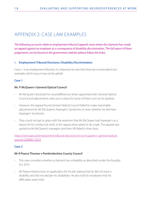## APPENDIX 2: CASE LAW EXAMPLES

*The following accounts relate to employment tribunal (appeal) cases where the claimant has made an appeal against an employer as a consequence of disability discrimination. The full report of these judgements can be found on the government website (please follow the links).*

#### **1. Employment Tribunal Decisions: Disability Discrimination**

*Cases 1-3 are employment tribunals. It is important to note that these are not precedents but examples which may or may not be upheld.*

#### **Case 1**

#### **Mr. P McQueen v General Optical Council**

- Mr McQueen disclosed his neurodifferences when appointed with General Optical Council and adjustments were put in place for some of these such as his dyslexia.
- However, the appeal found General Optical Council failed to make reasonable adjustments for Mr McQueen's Asperger's Syndrome, or even whether he did have Asperger's Syndrome.
- They could not 'get to grips with' the assertion that Mr McQueen had Asperger's as a reason for his conduct at work, or for raging when asked to do a task. This appeal was upheld as Mr McQueen's managers and then HR failed in their duty.

[https://www.gov.uk/employment-tribunal-decisions/mr-p-mcqueen-v-general-optical](https://www.gov.uk/employment-tribunal-decisions/mr-p-mcqueen-v-general-optical-council-2200667-2019)[council-2200667-2019](https://www.gov.uk/employment-tribunal-decisions/mr-p-mcqueen-v-general-optical-council-2200667-2019)

#### **Case 2**

#### **Mr R Pearce Thomas v Pembrokeshire County Council**

- This case considers whether a claimant has a disability as described under the Equality Act 2010.
- Mr Pearce ticked a box on application for his job, stating that he did not have a disability and did not declare his disabilities. He also told his employers that his difficulties were 'mild'.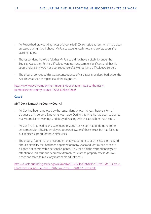- Mr Pearce had previous diagnoses of dyspraxia/DCD alongside autism, which had been assessed during his childhood. Mr Pearce experienced stress and anxiety soon after starting his job.
- The respondent therefore felt that Mr Pearce did not have a disability under the Equality Act as they felt his difficulties were not long term or significant and that his stress and anxiety were not a consequence of any underlying difficulties/disorders.
- The tribunal concluded this was a consequence of his disability as described under the Act. This was seen as regardless of the diagnoses.

[https://www.gov.uk/employment-tribunal-decisions/mr-r-pearce-thomas-v](https://www.gov.uk/employment-tribunal-decisions/mr-r-pearce-thomas-v-pembrokeshire-county-council-1600642-slash-2020)[pembrokeshire-county-council-1600642-slash-2020](https://www.gov.uk/employment-tribunal-decisions/mr-r-pearce-thomas-v-pembrokeshire-county-council-1600642-slash-2020)

#### **Case 3**

#### **Mr T Cox v Lancashire County Council**

- Mr Cox had been employed by the respondent for over 10 years before a formal diagnosis of Asperger's Syndrome was made. During this time, he had been subject to many complaints, warnings and delayed hearings which caused him much stress.
- Mr Cox finally agreed to an assessment for autism as his son had undergone some assessments for ASD. His employers appeared aware of these issues but had failed to put in place support for these difficulties.
- The tribunal found that the respondent that was content to 'stick its head in the sand' about a disability that had been apparent for many years and Mr Cox had to seek a diagnosis at considerable personal expense. Only then did the respondent pay any attention to this issue and seemed extremely reluctant to properly assess Mr Cox's needs and failed to make any reasonable adjustments.

https://assets.publishing.service.gov.uk/media/6102874ed3bf7f044c5159e1/Mr\_T\_Cox\_v [Lancashire\\_County\\_Council\\_-\\_2402124\\_2019\\_\\_\\_2404795\\_2019.pdf](https://assets.publishing.service.gov.uk/media/6102874ed3bf7f044c5159e1/Mr_T_Cox_v_Lancashire_County_Council_-_2402124_2019___2404795_2019.pdf )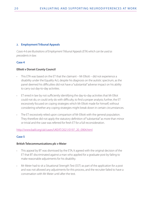#### **2. Employment Tribunal Appeals**

*Cases 4-6 are illustrations of Employment Tribunal Appeals (ETA) which can be used as precedents in law.* 

#### **Case 4**

#### **Elliott v Dorset County Council**

- This ETA was based on the ET that the claimant Mr Elliott did not experience a disability under the Equality Act, despite his diagnosis on the autistic spectrum, as the panel deemed his difficulties did not have a "substantial" adverse impact on his ability to carry out day-to-day activities.
- ET erred in law by not sufficiently identifying the day-to-day activities that Mr Elliot could not do, or could only do with difficulty, to find a proper analysis; further, the ET excessively focused on coping strategies which Mr Elliott made for himself, without considering whether any coping strategies might break down in certain circumstances.
- The ET excessively relied upon comparison of Mr Elliott with the general population. They therefore did not apply the statutory definition of "substantial" as more than minor or trivial and the case was referred for fresh ET for a full reconsideration.

[http://www.bailii.org/uk/cases/UKEAT/2021/0197\\_20\\_0904.html](http://www.bailii.org/uk/cases/UKEAT/2021/0197_20_0904.html)

#### **Case 5**

#### **British Telecommunications plc v Meier**

- This appeal by BT was dismissed by the ETA; It agreed with the original decision of the ET that BT discriminated against a man who applied for a graduate post by failing to make reasonable adjustments for his disability.
- Mr Meier had to sit a Situational Strength Test (SST) as part of the application for a post and was not allowed any adjustments for this process, and the recruiter failed to have a conversation with Mr Meier until after the test.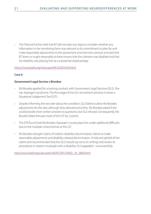• The Tribunal further held that BT did not take any steps to consider whether any information in the monitoring form was relevant to its commitment to plan for and make reasonable adjustments to the assessment and interview process and said that BT knew or ought reasonably to have known that the claimant was disabled and that his disability was placing him at a substantial disadvantage.

<https://www.bailii.org/nie/cases/NICA/2019/43.html>

#### **Case 6**

#### **Government Legal Service v Brookes**

- Ms Brookes applied for a training contract with Government Legal Services (GLS). She has Asperger's syndrome. The first stage of the GLS recruitment process involves a Situational Judgement Test (SJT).
- Despite informing the recruiter about her condition, GLS failed to allow Ms Brookes adjustments for this test, although they allowed extra time. Ms Brookes asked if she could provide short written answers to questions, but GLS refused. Consequently, Ms Brookes failed the pass mark of the SJT by 2 points.
- The ETA found that Ms Brookes Asperger's would place her under additional difficulty due to the multiple-choice format of the SJT.
- Ms Brookes brought claims of indirect disability discrimination, failure to make reasonable adjustments and disability-related discrimination. A tribunal upheld all her claims and recommended that the GLS should say sorry (in writing) and review its procedures in relation to people with a disability. GLS appealed - unsuccessfully.

[http://www.bailii.org/uk/cases/UKEAT/2017/0302\\_16\\_2803.html](http://www.bailii.org/uk/cases/UKEAT/2017/0302_16_2803.html)